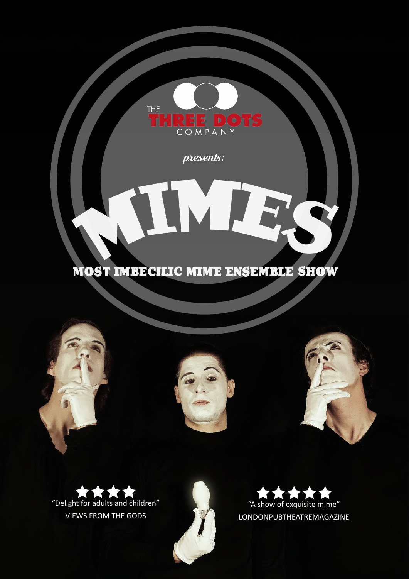

presents:

# MOST IMBECILIC MIME ENSEMBLE SHOW





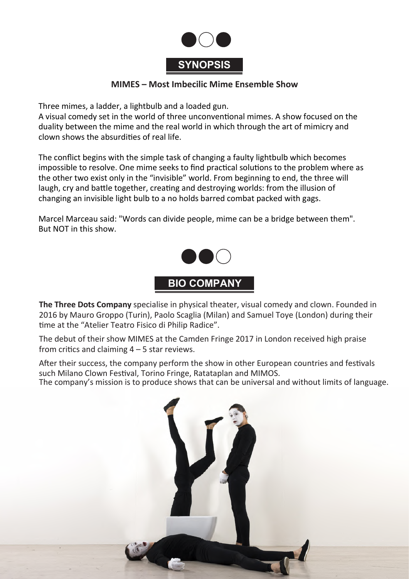

#### **MIMES – Most Imbecilic Mime Ensemble Show**

Three mimes, a ladder, a lightbulb and a loaded gun.

A visual comedy set in the world of three unconventional mimes. A show focused on the duality between the mime and the real world in which through the art of mimicry and clown shows the absurdities of real life.

The conflict begins with the simple task of changing a faulty lightbulb which becomes impossible to resolve. One mime seeks to find practical solutions to the problem where as the other two exist only in the "invisible" world. From beginning to end, the three will laugh, cry and battle together, creating and destroying worlds: from the illusion of changing an invisible light bulb to a no holds barred combat packed with gags.

Marcel Marceau said: "Words can divide people, mime can be a bridge between them". But NOT in this show.



**The Three Dots Company** specialise in physical theater, visual comedy and clown. Founded in 2016 by Mauro Groppo (Turin), Paolo Scaglia (Milan) and Samuel Toye (London) during their time at the "Atelier Teatro Fisico di Philip Radice".

The debut of their show MIMES at the Camden Fringe 2017 in London received high praise from critics and claiming  $4 - 5$  star reviews.

After their success, the company perform the show in other European countries and festivals such Milano Clown Festival, Torino Fringe, Ratataplan and MIMOS. The company's mission is to produce shows that can be universal and without limits of language.

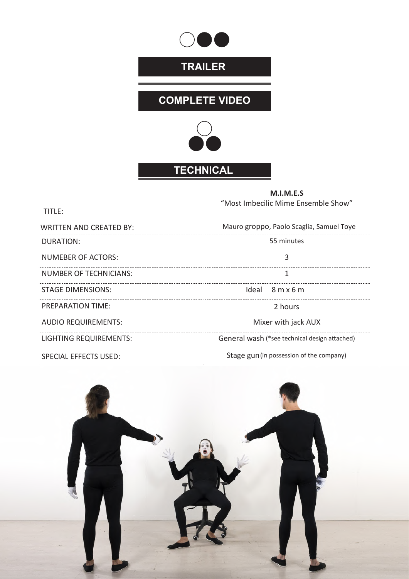

## **[TRAILER](https://vimeo.com/330340981)**

### **[COMPLETE VIDEO](https://www.youtube.com/watch?v=nofGruRkw-I)**



### **TECHNICAL**

**M.I.M.E.S**  "Most Imbecilic Mime Ensemble Show"

WRITTEN AND CREATED BY: Mauro groppo, Paolo Scaglia, Samuel Toye Mauro groppo, Paolo Scaglia, Samuel Toye DURATION: 55 minutes NUMEBER OF ACTORS: 3 NUMBER OF TECHNICIANS: 1 STAGE DIMENSIONS: Internal and the state of the state of the state of the state of the state of the state of the state of the state of the state of the state of the state of the state of the state of the state of the state PREPARATION TIME: 2 hours AUDIO REQUIREMENTS: Mixer with jack AUX LIGHTING REQUIREMENTS: General wash (\*see technical design attached) 

TITLE:

#### SPECIAL EFFECTS USED: Stage gun (in possession of the company)

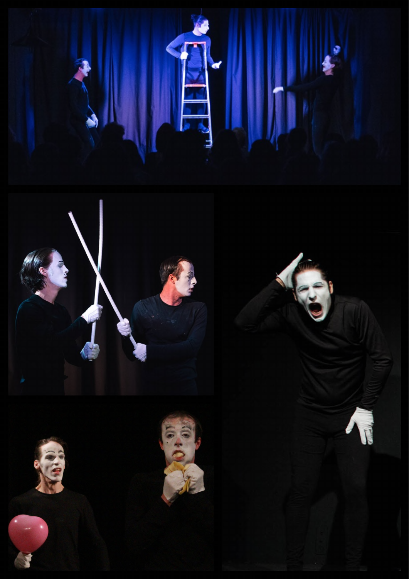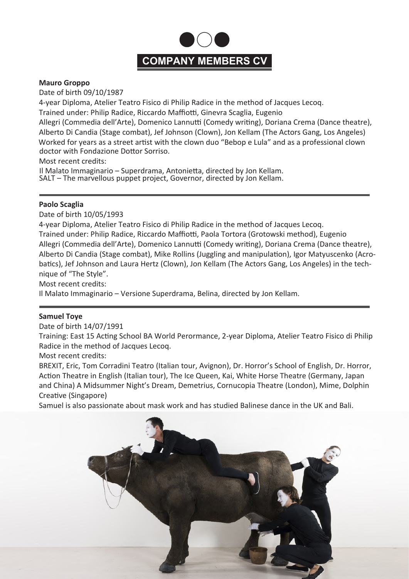

#### **Mauro Groppo**

Date of birth 09/10/1987 4-year Diploma, Atelier Teatro Fisico di Philip Radice in the method of Jacques Lecoq. Trained under: Philip Radice, Riccardo Maffiotti, Ginevra Scaglia, Eugenio Allegri (Commedia dell'Arte), Domenico Lannutti (Comedy writing), Doriana Crema (Dance theatre), Alberto Di Candia (Stage combat), Jef Johnson (Clown), Jon Kellam (The Actors Gang, Los Angeles) Worked for years as a street artist with the clown duo "Bebop e Lula" and as a professional clown doctor with Fondazione Dottor Sorriso. Most recent credits: Il Malato Immaginario – Superdrama, Antonietta, directed by Jon Kellam.

**Paolo Scaglia**

Date of birth 10/05/1993

4-year Diploma, Atelier Teatro Fisico di Philip Radice in the method of Jacques Lecoq. Trained under: Philip Radice, Riccardo Maffiotti, Paola Tortora (Grotowski method), Eugenio Allegri (Commedia dell'Arte), Domenico Lannutti (Comedy writing), Doriana Crema (Dance theatre),

Alberto Di Candia (Stage combat), Mike Rollins (Juggling and manipulation), Igor Matyuscenko (Acrobatics), Jef Johnson and Laura Hertz (Clown), Jon Kellam (The Actors Gang, Los Angeles) in the technique of "The Style".

Most recent credits:

Il Malato Immaginario – Versione Superdrama, Belina, directed by Jon Kellam.

SALT – The marvellous puppet project, Governor, directed by Jon Kellam.

#### **Samuel Toye**

Date of birth 14/07/1991

Training: East 15 Acting School BA World Perormance, 2-year Diploma, Atelier Teatro Fisico di Philip Radice in the method of Jacques Lecoq.

Most recent credits:

BREXIT, Eric, Tom Corradini Teatro (Italian tour, Avignon), Dr. Horror's School of English, Dr. Horror, Action Theatre in English (Italian tour), The Ice Queen, Kai, White Horse Theatre (Germany, Japan and China) A Midsummer Night's Dream, Demetrius, Cornucopia Theatre (London), Mime, Dolphin Creative (Singapore)

Samuel is also passionate about mask work and has studied Balinese dance in the UK and Bali.

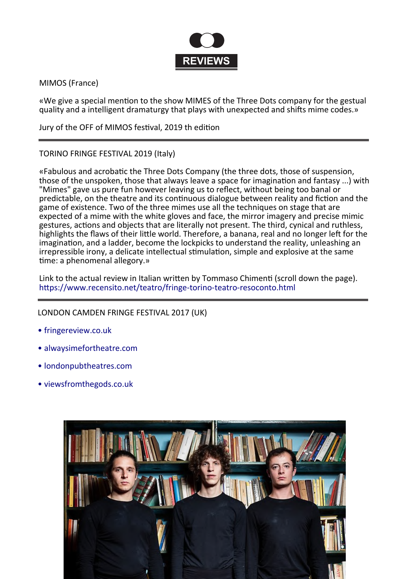

MIMOS (France)

«We give a special mention to the show MIMES of the Three Dots company for the gestual quality and a intelligent dramaturgy that plays with unexpected and shifts mime codes.»

Jury of the OFF of MIMOS festival, 2019 th edition

TORINO FRINGE FESTIVAL 2019 (Italy)

«Fabulous and acrobatic the Three Dots Company (the three dots, those of suspension, those of the unspoken, those that always leave a space for imagination and fantasy ...) with "Mimes" gave us pure fun however leaving us to reflect, without being too banal or predictable, on the theatre and its continuous dialogue between reality and fiction and the game of existence. Two of the three mimes use all the techniques on stage that are expected of a mime with the white gloves and face, the mirror imagery and precise mimic gestures, actions and objects that are literally not present. The third, cynical and ruthless, highlights the flaws of their little world. Therefore, a banana, real and no longer left for the imagination, and a ladder, become the lockpicks to understand the reality, unleashing an irrepressible irony, a delicate intellectual stimulation, simple and explosive at the same time: a phenomenal allegory.»

Link to the actual review in Italian written by Tommaso Chimenti (scroll down the page). [https://www.recensito.net/teatro/fringe-torino-teatro-resoconto.htm](https://www.recensito.net/teatro/fringe-torino-teatro-resoconto.html)l

#### LONDON CAMDEN FRINGE FESTIVAL 2017 (UK)

- [fringereview.co.uk](http://fringereview.co.uk/review/camden-fringe/2017/m-i-m-e-s-most-imbecilic-mime-ensemble-show/)
- [alwaysimefortheatre.com](https://alwaystimefortheatre.com/2017/08/22/m-i-m-e-s-a-polished-ode-to-mime-fetching-plenty-of-laughs/)
- [londonpubtheatres.com](https://pubtheatres1.tumblr.com/post/164365343652/mimes-most-imbecilic-mimeensemble-)
- [viewsfromthegods.co.uk](http://viewsfromthegods.co.uk/mimes.shtml)